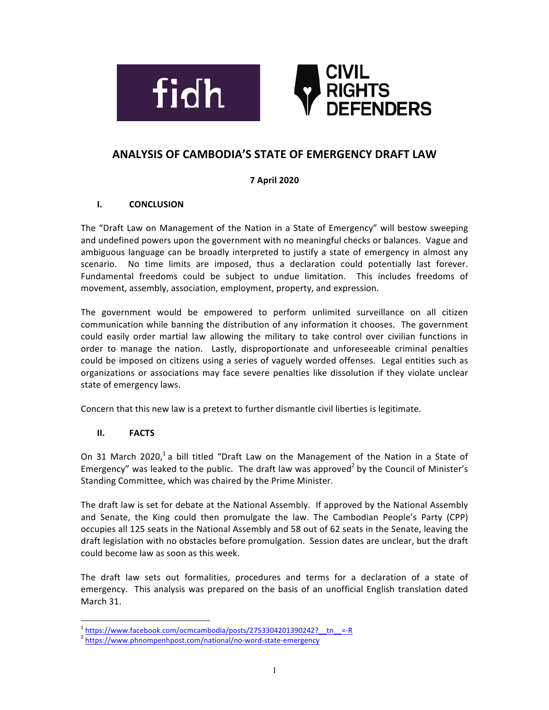



# **ANALYSIS OF CAMBODIA'S STATE OF EMERGENCY DRAFT LAW**

## **7 April 2020**

## **I. CONCLUSION**

The "Draft Law on Management of the Nation in a State of Emergency" will bestow sweeping and undefined powers upon the government with no meaningful checks or balances. Vague and ambiguous language can be broadly interpreted to justify a state of emergency in almost any scenario. No time limits are imposed, thus a declaration could potentially last forever. Fundamental freedoms could be subject to undue limitation. This includes freedoms of movement, assembly, association, employment, property, and expression.

The government would be empowered to perform unlimited surveillance on all citizen communication while banning the distribution of any information it chooses. The government could easily order martial law allowing the military to take control over civilian functions in order to manage the nation. Lastly, disproportionate and unforeseeable criminal penalties could be imposed on citizens using a series of vaguely worded offenses. Legal entities such as organizations or associations may face severe penalties like dissolution if they violate unclear state of emergency laws.

Concern that this new law is a pretext to further dismantle civil liberties is legitimate.

## **II. FACTS**

On 31 March 2020,<sup>1</sup> a bill titled "Draft Law on the Management of the Nation in a State of Emergency" was leaked to the public. The draft law was approved<sup>2</sup> by the Council of Minister's Standing Committee, which was chaired by the Prime Minister.

The draft law is set for debate at the National Assembly. If approved by the National Assembly and Senate, the King could then promulgate the law. The Cambodian People's Party (CPP) occupies all 125 seats in the National Assembly and 58 out of 62 seats in the Senate, leaving the draft legislation with no obstacles before promulgation. Session dates are unclear, but the draft could become law as soon as this week.

The draft law sets out formalities, procedures and terms for a declaration of a state of emergency. This analysis was prepared on the basis of an unofficial English translation dated March 31.

 $\frac{1}{2}$  https://www.facebook.com/ocmcambodia/posts/2753304201390242?\_\_tn\_\_=-R  $\frac{1}{2}$  https://www.phnompenhpost.com/national/no-word-state-emergency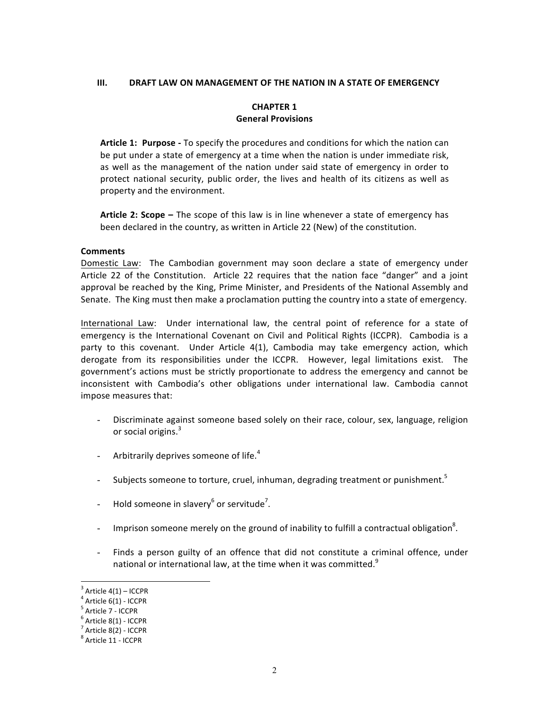#### **III. DRAFT LAW ON MANAGEMENT OF THE NATION IN A STATE OF EMERGENCY**

#### **CHAPTER 1 General Provisions**

Article 1: Purpose - To specify the procedures and conditions for which the nation can be put under a state of emergency at a time when the nation is under immediate risk, as well as the management of the nation under said state of emergency in order to protect national security, public order, the lives and health of its citizens as well as property and the environment.

**Article 2: Scope –** The scope of this law is in line whenever a state of emergency has been declared in the country, as written in Article 22 (New) of the constitution.

#### **Comments**

Domestic Law: The Cambodian government may soon declare a state of emergency under Article 22 of the Constitution. Article 22 requires that the nation face "danger" and a joint approval be reached by the King, Prime Minister, and Presidents of the National Assembly and Senate. The King must then make a proclamation putting the country into a state of emergency.

International Law: Under international law, the central point of reference for a state of emergency is the International Covenant on Civil and Political Rights (ICCPR). Cambodia is a party to this covenant. Under Article 4(1), Cambodia may take emergency action, which derogate from its responsibilities under the ICCPR. However, legal limitations exist. The government's actions must be strictly proportionate to address the emergency and cannot be inconsistent with Cambodia's other obligations under international law. Cambodia cannot impose measures that:

- Discriminate against someone based solely on their race, colour, sex, language, religion or social origins.<sup>3</sup>
- Arbitrarily deprives someone of life.<sup>4</sup>
- Subjects someone to torture, cruel, inhuman, degrading treatment or punishment.<sup>5</sup>
- Hold someone in slavery<sup>6</sup> or servitude<sup>7</sup>.
- Imprison someone merely on the ground of inability to fulfill a contractual obligation<sup>8</sup>.
- Finds a person guilty of an offence that did not constitute a criminal offence, under national or international law, at the time when it was committed.<sup>9</sup>

<sup>&</sup>lt;sup>3</sup> Article  $4(1)$  – ICCPR<br>
<sup>4</sup> Article  $6(1)$  - ICCPR<br>
<sup>5</sup> Article  $8(1)$  - ICCPR<br>
<sup>7</sup> Article  $8(2)$  - ICCPR<br>
<sup>8</sup> Article 11 - ICCPR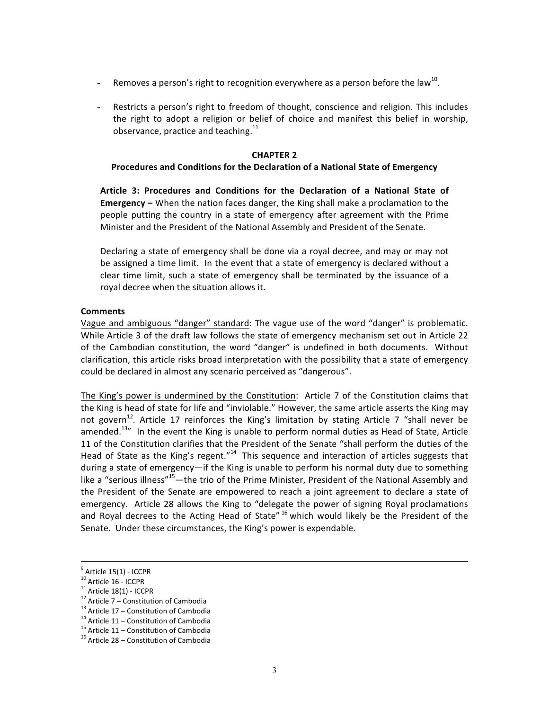- Removes a person's right to recognition everywhere as a person before the law<sup>10</sup>.
- Restricts a person's right to freedom of thought, conscience and religion. This includes the right to adopt a religion or belief of choice and manifest this belief in worship, observance, practice and teaching. $^{11}$

#### **CHAPTER 2**

#### **Procedures and Conditions for the Declaration of a National State of Emergency**

Article 3: Procedures and Conditions for the Declaration of a National State of **Emergency** – When the nation faces danger, the King shall make a proclamation to the people putting the country in a state of emergency after agreement with the Prime Minister and the President of the National Assembly and President of the Senate.

Declaring a state of emergency shall be done via a royal decree, and may or may not be assigned a time limit. In the event that a state of emergency is declared without a clear time limit, such a state of emergency shall be terminated by the issuance of a royal decree when the situation allows it.

#### **Comments**

Vague and ambiguous "danger" standard: The vague use of the word "danger" is problematic. While Article 3 of the draft law follows the state of emergency mechanism set out in Article 22 of the Cambodian constitution, the word "danger" is undefined in both documents. Without clarification, this article risks broad interpretation with the possibility that a state of emergency could be declared in almost any scenario perceived as "dangerous".

The King's power is undermined by the Constitution: Article 7 of the Constitution claims that the King is head of state for life and "inviolable." However, the same article asserts the King may not govern<sup>12</sup>. Article 17 reinforces the King's limitation by stating Article 7 "shall never be amended.<sup>13</sup>" In the event the King is unable to perform normal duties as Head of State, Article 11 of the Constitution clarifies that the President of the Senate "shall perform the duties of the Head of State as the King's regent."<sup>14</sup> This sequence and interaction of articles suggests that during a state of emergency—if the King is unable to perform his normal duty due to something like a "serious illness"<sup>15</sup>—the trio of the Prime Minister, President of the National Assembly and the President of the Senate are empowered to reach a joint agreement to declare a state of emergency. Article 28 allows the King to "delegate the power of signing Royal proclamations and Royal decrees to the Acting Head of State"  $16$  which would likely be the President of the Senate. Under these circumstances, the King's power is expendable.

<sup>9&</sup>lt;br>
<sup>9</sup> Article 15(1) - ICCPR<br>
<sup>10</sup> Article 16 - ICCPR<br>
<sup>11</sup> Article 18(1) - ICCPR<br>
<sup>12</sup> Article 7 – Constitution of Cambodia<br>
<sup>13</sup> Article 17 – Constitution of Cambodia<br>
<sup>14</sup> Article 11 – Constitution of Cambodia<br>
<sup>15</sup> Art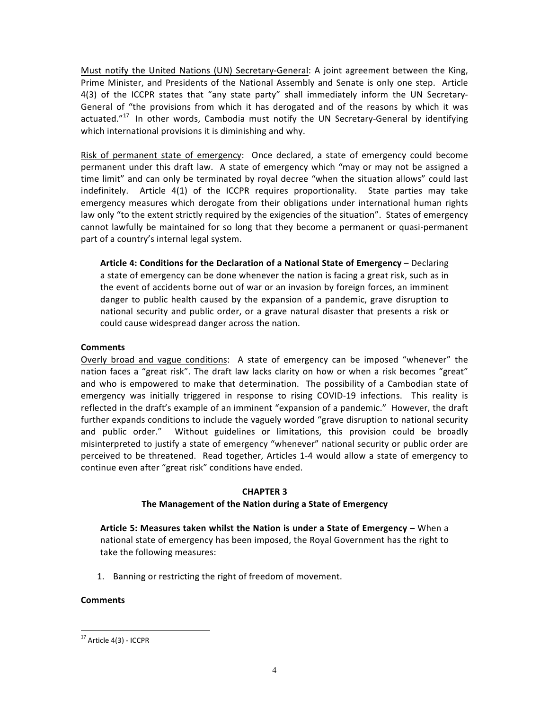Must notify the United Nations (UN) Secretary-General: A joint agreement between the King, Prime Minister, and Presidents of the National Assembly and Senate is only one step. Article 4(3) of the ICCPR states that "any state party" shall immediately inform the UN Secretary-General of "the provisions from which it has derogated and of the reasons by which it was actuated." $17$  In other words, Cambodia must notify the UN Secretary-General by identifying which international provisions it is diminishing and why.

Risk of permanent state of emergency: Once declared, a state of emergency could become permanent under this draft law. A state of emergency which "may or may not be assigned a time limit" and can only be terminated by royal decree "when the situation allows" could last indefinitely. Article  $4(1)$  of the ICCPR requires proportionality. State parties may take emergency measures which derogate from their obligations under international human rights law only "to the extent strictly required by the exigencies of the situation". States of emergency cannot lawfully be maintained for so long that they become a permanent or quasi-permanent part of a country's internal legal system.

Article 4: Conditions for the Declaration of a National State of Emergency – Declaring a state of emergency can be done whenever the nation is facing a great risk, such as in the event of accidents borne out of war or an invasion by foreign forces, an imminent danger to public health caused by the expansion of a pandemic, grave disruption to national security and public order, or a grave natural disaster that presents a risk or could cause widespread danger across the nation.

## **Comments**

Overly broad and vague conditions: A state of emergency can be imposed "whenever" the nation faces a "great risk". The draft law lacks clarity on how or when a risk becomes "great" and who is empowered to make that determination. The possibility of a Cambodian state of emergency was initially triggered in response to rising COVID-19 infections. This reality is reflected in the draft's example of an imminent "expansion of a pandemic." However, the draft further expands conditions to include the vaguely worded "grave disruption to national security and public order." Without guidelines or limitations, this provision could be broadly misinterpreted to justify a state of emergency "whenever" national security or public order are perceived to be threatened. Read together, Articles 1-4 would allow a state of emergency to continue even after "great risk" conditions have ended.

### **CHAPTER 3**

## The Management of the Nation during a State of Emergency

Article 5: Measures taken whilst the Nation is under a State of Emergency – When a national state of emergency has been imposed, the Royal Government has the right to take the following measures:

1. Banning or restricting the right of freedom of movement.

## **Comments**

 $17$  Article 4(3) - ICCPR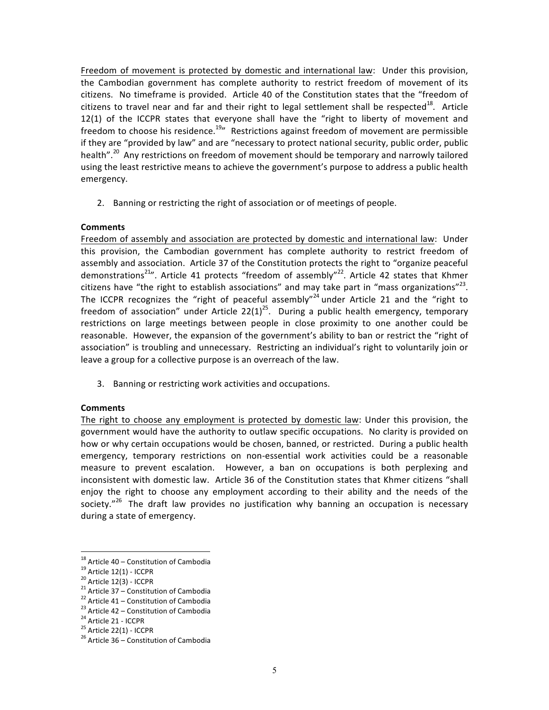Freedom of movement is protected by domestic and international law: Under this provision, the Cambodian government has complete authority to restrict freedom of movement of its citizens. No timeframe is provided. Article 40 of the Constitution states that the "freedom of citizens to travel near and far and their right to legal settlement shall be respected<sup>18</sup>. Article 12(1) of the ICCPR states that everyone shall have the "right to liberty of movement and freedom to choose his residence.<sup>19</sup> Restrictions against freedom of movement are permissible if they are "provided by law" and are "necessary to protect national security, public order, public health".<sup>20</sup> Any restrictions on freedom of movement should be temporary and narrowly tailored using the least restrictive means to achieve the government's purpose to address a public health emergency. 

2. Banning or restricting the right of association or of meetings of people.

## **Comments**

Freedom of assembly and association are protected by domestic and international law: Under this provision, the Cambodian government has complete authority to restrict freedom of assembly and association. Article 37 of the Constitution protects the right to "organize peaceful demonstrations<sup>21</sup>". Article 41 protects "freedom of assembly"<sup>22</sup>. Article 42 states that Khmer citizens have "the right to establish associations" and may take part in "mass organizations"<sup>23</sup>. The ICCPR recognizes the "right of peaceful assembly"<sup>24</sup> under Article 21 and the "right to freedom of association" under Article  $22(1)^{25}$ . During a public health emergency, temporary restrictions on large meetings between people in close proximity to one another could be reasonable. However, the expansion of the government's ability to ban or restrict the "right of association" is troubling and unnecessary. Restricting an individual's right to voluntarily join or leave a group for a collective purpose is an overreach of the law.

3. Banning or restricting work activities and occupations.

### **Comments**

The right to choose any employment is protected by domestic law: Under this provision, the government would have the authority to outlaw specific occupations. No clarity is provided on how or why certain occupations would be chosen, banned, or restricted. During a public health emergency, temporary restrictions on non-essential work activities could be a reasonable measure to prevent escalation. However, a ban on occupations is both perplexing and inconsistent with domestic law. Article 36 of the Constitution states that Khmer citizens "shall enjoy the right to choose any employment according to their ability and the needs of the society."<sup>26</sup> The draft law provides no justification why banning an occupation is necessary during a state of emergency.

<sup>&</sup>lt;sup>18</sup> Article 40 – Constitution of Cambodia<br>
<sup>19</sup> Article 12(1) - ICCPR<br>
<sup>20</sup> Article 12(3) - ICCPR<br>
<sup>21</sup> Article 37 – Constitution of Cambodia<br>
<sup>22</sup> Article 41 – Constitution of Cambodia<br>
<sup>23</sup> Article 42 – Constitution of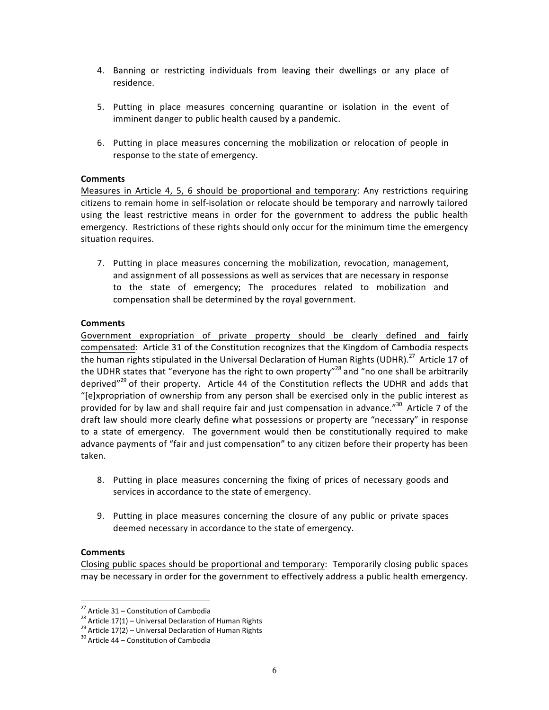- 4. Banning or restricting individuals from leaving their dwellings or any place of residence.
- 5. Putting in place measures concerning quarantine or isolation in the event of imminent danger to public health caused by a pandemic.
- 6. Putting in place measures concerning the mobilization or relocation of people in response to the state of emergency.

#### **Comments**

Measures in Article 4, 5, 6 should be proportional and temporary: Any restrictions requiring citizens to remain home in self-isolation or relocate should be temporary and narrowly tailored using the least restrictive means in order for the government to address the public health emergency. Restrictions of these rights should only occur for the minimum time the emergency situation requires.

7. Putting in place measures concerning the mobilization, revocation, management, and assignment of all possessions as well as services that are necessary in response to the state of emergency; The procedures related to mobilization and compensation shall be determined by the royal government.

### **Comments**

Government expropriation of private property should be clearly defined and fairly compensated: Article 31 of the Constitution recognizes that the Kingdom of Cambodia respects the human rights stipulated in the Universal Declaration of Human Rights (UDHR).<sup>27</sup> Article 17 of the UDHR states that "everyone has the right to own property"<sup>28</sup> and "no one shall be arbitrarily deprived"<sup>29</sup> of their property. Article 44 of the Constitution reflects the UDHR and adds that "[e]xpropriation of ownership from any person shall be exercised only in the public interest as provided for by law and shall require fair and just compensation in advance." $30$  Article 7 of the draft law should more clearly define what possessions or property are "necessary" in response to a state of emergency. The government would then be constitutionally required to make advance payments of "fair and just compensation" to any citizen before their property has been taken.

- 8. Putting in place measures concerning the fixing of prices of necessary goods and services in accordance to the state of emergency.
- 9. Putting in place measures concerning the closure of any public or private spaces deemed necessary in accordance to the state of emergency.

#### **Comments**

Closing public spaces should be proportional and temporary: Temporarily closing public spaces may be necessary in order for the government to effectively address a public health emergency.

<sup>&</sup>lt;sup>27</sup> Article 31 – Constitution of Cambodia<br><sup>28</sup> Article 17(1) – Universal Declaration of Human Rights<br><sup>29</sup> Article 17(2) – Universal Declaration of Human Rights<br><sup>30</sup> Article 44 – Constitution of Cambodia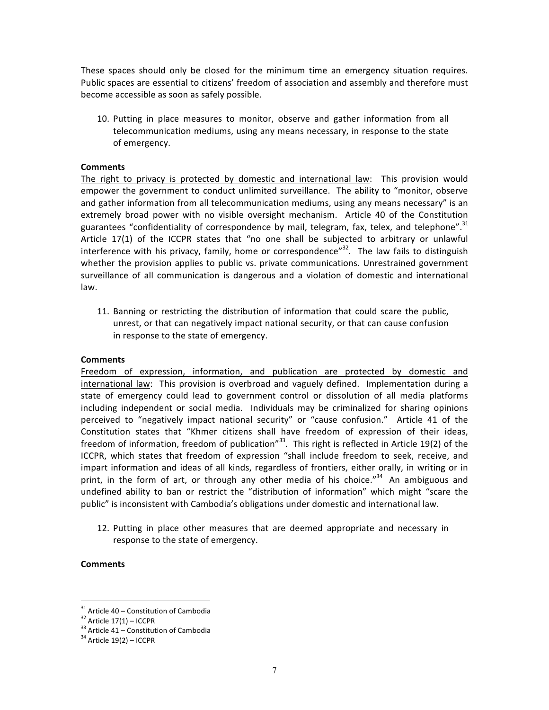These spaces should only be closed for the minimum time an emergency situation requires. Public spaces are essential to citizens' freedom of association and assembly and therefore must become accessible as soon as safely possible.

10. Putting in place measures to monitor, observe and gather information from all telecommunication mediums, using any means necessary, in response to the state of emergency.

#### **Comments**

The right to privacy is protected by domestic and international law: This provision would empower the government to conduct unlimited surveillance. The ability to "monitor, observe and gather information from all telecommunication mediums, using any means necessary" is an extremely broad power with no visible oversight mechanism. Article 40 of the Constitution guarantees "confidentiality of correspondence by mail, telegram, fax, telex, and telephone".<sup>31</sup> Article 17(1) of the ICCPR states that "no one shall be subjected to arbitrary or unlawful interference with his privacy, family, home or correspondence" $32$ . The law fails to distinguish whether the provision applies to public vs. private communications. Unrestrained government surveillance of all communication is dangerous and a violation of domestic and international law.

11. Banning or restricting the distribution of information that could scare the public, unrest, or that can negatively impact national security, or that can cause confusion in response to the state of emergency.

#### **Comments**

Freedom of expression, information, and publication are protected by domestic and international law: This provision is overbroad and vaguely defined. Implementation during a state of emergency could lead to government control or dissolution of all media platforms including independent or social media. Individuals may be criminalized for sharing opinions perceived to "negatively impact national security" or "cause confusion." Article 41 of the Constitution states that "Khmer citizens shall have freedom of expression of their ideas, freedom of information, freedom of publication"<sup>33</sup>. This right is reflected in Article 19(2) of the ICCPR, which states that freedom of expression "shall include freedom to seek, receive, and impart information and ideas of all kinds, regardless of frontiers, either orally, in writing or in print, in the form of art, or through any other media of his choice."<sup>34</sup> An ambiguous and undefined ability to ban or restrict the "distribution of information" which might "scare the public" is inconsistent with Cambodia's obligations under domestic and international law.

12. Putting in place other measures that are deemed appropriate and necessary in response to the state of emergency.

#### **Comments**

<sup>&</sup>lt;sup>31</sup> Article  $40$  – Constitution of Cambodia<br><sup>32</sup> Article  $17(1)$  – ICCPR<br><sup>33</sup> Article  $41$  – Constitution of Cambodia <sup>34</sup> Article 19(2) – ICCPR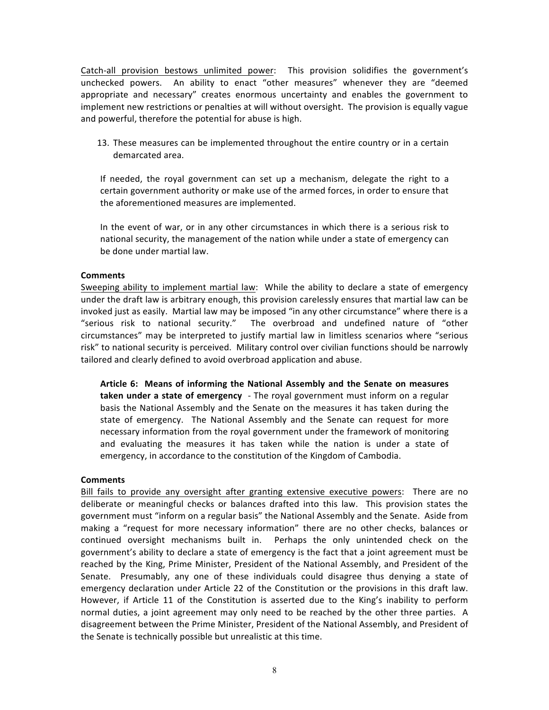Catch-all provision bestows unlimited power: This provision solidifies the government's unchecked powers. An ability to enact "other measures" whenever they are "deemed appropriate and necessary" creates enormous uncertainty and enables the government to implement new restrictions or penalties at will without oversight. The provision is equally vague and powerful, therefore the potential for abuse is high.

13. These measures can be implemented throughout the entire country or in a certain demarcated area.

If needed, the royal government can set up a mechanism, delegate the right to a certain government authority or make use of the armed forces, in order to ensure that the aforementioned measures are implemented.

In the event of war, or in any other circumstances in which there is a serious risk to national security, the management of the nation while under a state of emergency can be done under martial law.

#### **Comments**

Sweeping ability to implement martial law: While the ability to declare a state of emergency under the draft law is arbitrary enough, this provision carelessly ensures that martial law can be invoked just as easily. Martial law may be imposed "in any other circumstance" where there is a "serious risk to national security." The overbroad and undefined nature of "other circumstances" may be interpreted to justify martial law in limitless scenarios where "serious risk" to national security is perceived. Military control over civilian functions should be narrowly tailored and clearly defined to avoid overbroad application and abuse.

Article 6: Means of informing the National Assembly and the Senate on measures **taken under a state of emergency** - The royal government must inform on a regular basis the National Assembly and the Senate on the measures it has taken during the state of emergency. The National Assembly and the Senate can request for more necessary information from the royal government under the framework of monitoring and evaluating the measures it has taken while the nation is under a state of emergency, in accordance to the constitution of the Kingdom of Cambodia.

### **Comments**

Bill fails to provide any oversight after granting extensive executive powers: There are no deliberate or meaningful checks or balances drafted into this law. This provision states the government must "inform on a regular basis" the National Assembly and the Senate. Aside from making a "request for more necessary information" there are no other checks, balances or continued oversight mechanisms built in. Perhaps the only unintended check on the government's ability to declare a state of emergency is the fact that a joint agreement must be reached by the King, Prime Minister, President of the National Assembly, and President of the Senate. Presumably, any one of these individuals could disagree thus denying a state of emergency declaration under Article 22 of the Constitution or the provisions in this draft law. However, if Article 11 of the Constitution is asserted due to the King's inability to perform normal duties, a joint agreement may only need to be reached by the other three parties. A disagreement between the Prime Minister, President of the National Assembly, and President of the Senate is technically possible but unrealistic at this time.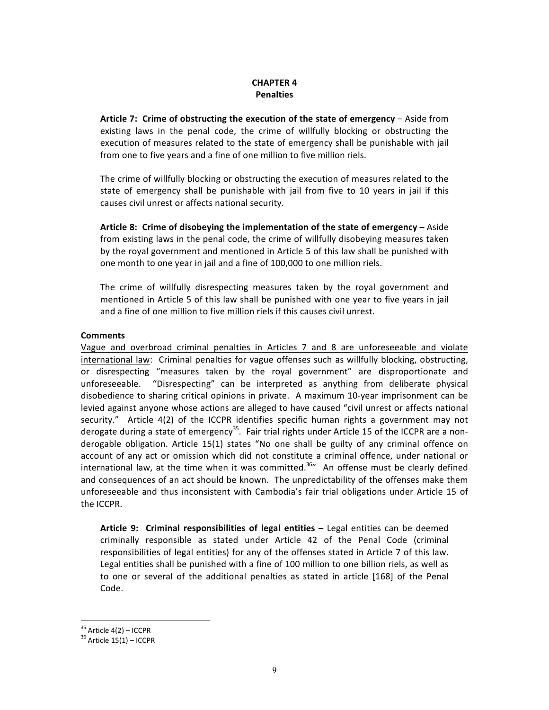### **CHAPTER 4 Penalties**

Article 7: Crime of obstructing the execution of the state of emergency – Aside from existing laws in the penal code, the crime of willfully blocking or obstructing the execution of measures related to the state of emergency shall be punishable with jail from one to five years and a fine of one million to five million riels.

The crime of willfully blocking or obstructing the execution of measures related to the state of emergency shall be punishable with jail from five to 10 years in jail if this causes civil unrest or affects national security.

Article 8: Crime of disobeying the implementation of the state of emergency – Aside from existing laws in the penal code, the crime of willfully disobeying measures taken by the royal government and mentioned in Article 5 of this law shall be punished with one month to one year in jail and a fine of 100,000 to one million riels.

The crime of willfully disrespecting measures taken by the royal government and mentioned in Article 5 of this law shall be punished with one year to five years in jail and a fine of one million to five million riels if this causes civil unrest.

### **Comments**

Vague and overbroad criminal penalties in Articles 7 and 8 are unforeseeable and violate international law: Criminal penalties for vague offenses such as willfully blocking, obstructing, or disrespecting "measures taken by the royal government" are disproportionate and unforeseeable. "Disrespecting" can be interpreted as anything from deliberate physical disobedience to sharing critical opinions in private. A maximum 10-year imprisonment can be levied against anyone whose actions are alleged to have caused "civil unrest or affects national security." Article 4(2) of the ICCPR identifies specific human rights a government may not derogate during a state of emergency<sup>35</sup>. Fair trial rights under Article 15 of the ICCPR are a nonderogable obligation. Article 15(1) states "No one shall be guilty of any criminal offence on account of any act or omission which did not constitute a criminal offence, under national or international law, at the time when it was committed.<sup>36</sup> An offense must be clearly defined and consequences of an act should be known. The unpredictability of the offenses make them unforeseeable and thus inconsistent with Cambodia's fair trial obligations under Article 15 of the ICCPR.

Article 9: Criminal responsibilities of legal entities - Legal entities can be deemed criminally responsible as stated under Article 42 of the Penal Code (criminal responsibilities of legal entities) for any of the offenses stated in Article 7 of this law. Legal entities shall be punished with a fine of 100 million to one billion riels, as well as to one or several of the additional penalties as stated in article [168] of the Penal Code.

 $35$  Article  $4(2)$  – ICCPR<br> $36$  Article 15(1) – ICCPR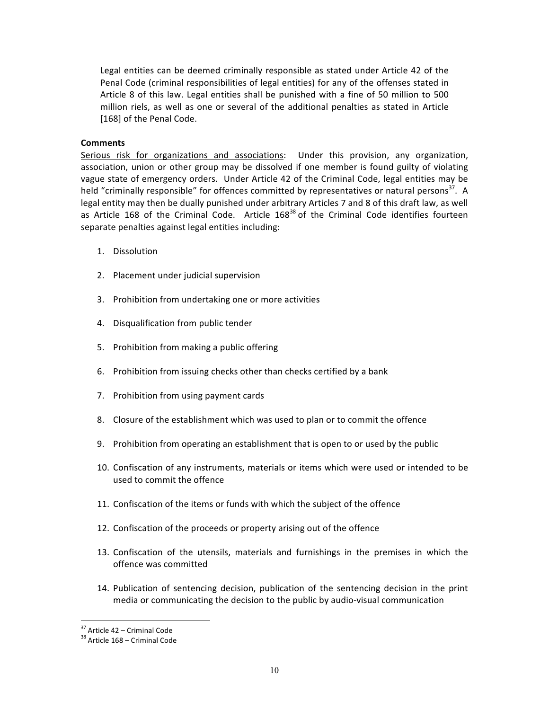Legal entities can be deemed criminally responsible as stated under Article 42 of the Penal Code (criminal responsibilities of legal entities) for any of the offenses stated in Article 8 of this law. Legal entities shall be punished with a fine of 50 million to 500 million riels, as well as one or several of the additional penalties as stated in Article [168] of the Penal Code.

### **Comments**

Serious risk for organizations and associations: Under this provision, any organization, association, union or other group may be dissolved if one member is found guilty of violating vague state of emergency orders. Under Article 42 of the Criminal Code, legal entities may be held "criminally responsible" for offences committed by representatives or natural persons<sup>37</sup>. A legal entity may then be dually punished under arbitrary Articles 7 and 8 of this draft law, as well as Article 168 of the Criminal Code. Article  $168^{38}$  of the Criminal Code identifies fourteen separate penalties against legal entities including:

- 1. Dissolution
- 2. Placement under judicial supervision
- 3. Prohibition from undertaking one or more activities
- 4. Disqualification from public tender
- 5. Prohibition from making a public offering
- 6. Prohibition from issuing checks other than checks certified by a bank
- 7. Prohibition from using payment cards
- 8. Closure of the establishment which was used to plan or to commit the offence
- 9. Prohibition from operating an establishment that is open to or used by the public
- 10. Confiscation of any instruments, materials or items which were used or intended to be used to commit the offence
- 11. Confiscation of the items or funds with which the subject of the offence
- 12. Confiscation of the proceeds or property arising out of the offence
- 13. Confiscation of the utensils, materials and furnishings in the premises in which the offence was committed
- 14. Publication of sentencing decision, publication of the sentencing decision in the print media or communicating the decision to the public by audio-visual communication

<sup>&</sup>lt;sup>37</sup> Article  $42 -$  Criminal Code<br><sup>38</sup> Article  $168 -$  Criminal Code